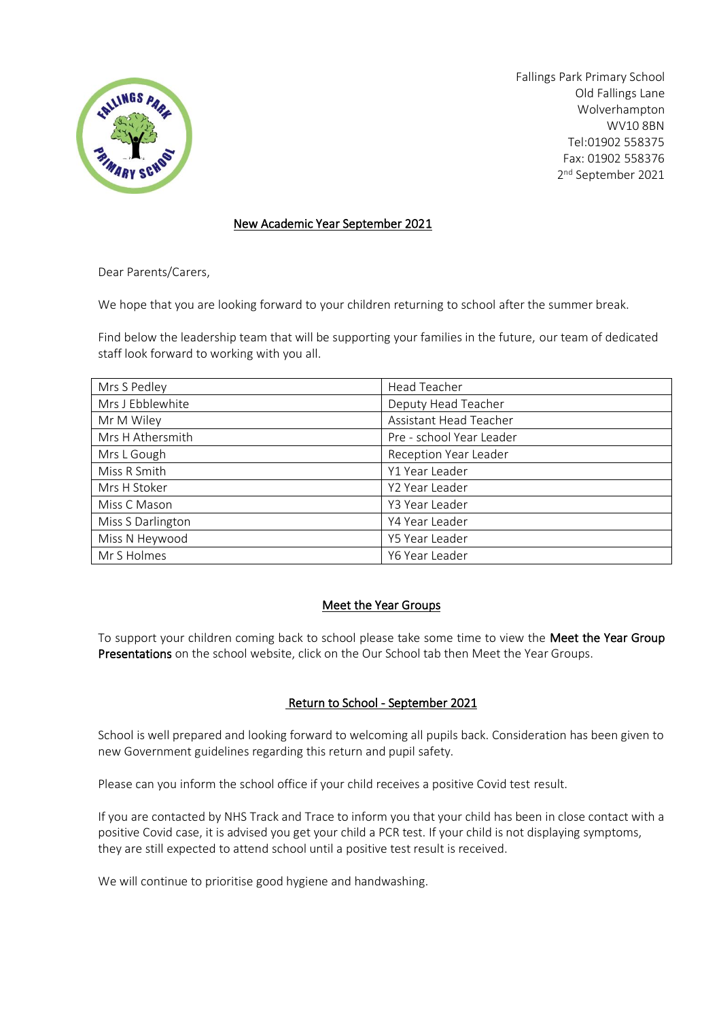

Fallings Park Primary School Old Fallings Lane Wolverhampton WV10 8BN Tel:01902 558375 Fax: 01902 558376 2 nd September 2021

### New Academic Year September 2021

Dear Parents/Carers,

We hope that you are looking forward to your children returning to school after the summer break.

Find below the leadership team that will be supporting your families in the future, our team of dedicated staff look forward to working with you all.

| Mrs S Pedley      | <b>Head Teacher</b>      |
|-------------------|--------------------------|
| Mrs J Ebblewhite  | Deputy Head Teacher      |
| Mr M Wiley        | Assistant Head Teacher   |
| Mrs H Athersmith  | Pre - school Year Leader |
| Mrs L Gough       | Reception Year Leader    |
| Miss R Smith      | Y1 Year Leader           |
| Mrs H Stoker      | Y2 Year Leader           |
| Miss C Mason      | Y3 Year Leader           |
| Miss S Darlington | Y4 Year Leader           |
| Miss N Heywood    | Y5 Year Leader           |
| Mr S Holmes       | Y6 Year Leader           |

# Meet the Year Groups

To support your children coming back to school please take some time to view the Meet the Year Group Presentations on the school website, click on the Our School tab then Meet the Year Groups.

# Return to School - September 2021

School is well prepared and looking forward to welcoming all pupils back. Consideration has been given to new Government guidelines regarding this return and pupil safety.

Please can you inform the school office if your child receives a positive Covid test result.

If you are contacted by NHS Track and Trace to inform you that your child has been in close contact with a positive Covid case, it is advised you get your child a PCR test. If your child is not displaying symptoms, they are still expected to attend school until a positive test result is received.

We will continue to prioritise good hygiene and handwashing.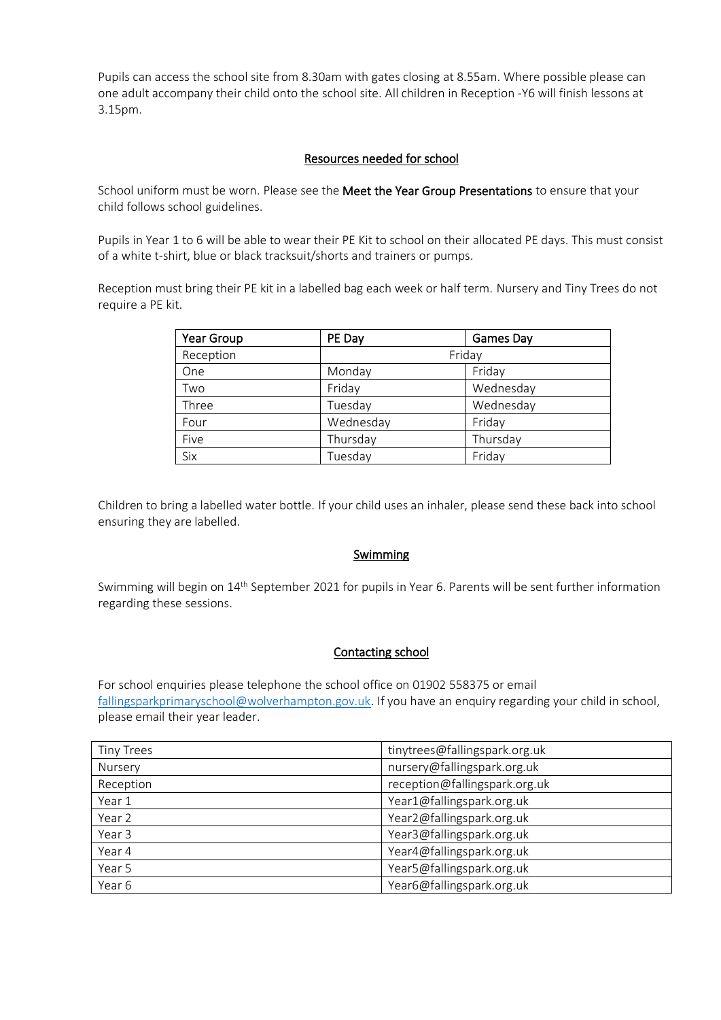Pupils can access the school site from 8.30am with gates closing at 8.55am. Where possible please can one adult accompany their child onto the school site. All children in Reception -Y6 will finish lessons at 3.15pm.

# Resources needed for school

School uniform must be worn. Please see the Meet the Year Group Presentations to ensure that your child follows school guidelines.

Pupils in Year 1 to 6 will be able to wear their PE Kit to school on their allocated PE days. This must consist of a white t-shirt, blue or black tracksuit/shorts and trainers or pumps.

Reception must bring their PE kit in a labelled bag each week or half term. Nursery and Tiny Trees do not require a PE kit.

| Year Group | PE Day    | Games Day |
|------------|-----------|-----------|
| Reception  | Friday    |           |
| One        | Monday    | Friday    |
| Two        | Friday    | Wednesday |
| Three      | Tuesday   | Wednesday |
| Four       | Wednesday | Friday    |
| Five       | Thursday  | Thursday  |
| Six        | Tuesday   | Friday    |

Children to bring a labelled water bottle. If your child uses an inhaler, please send these back into school ensuring they are labelled.

#### Swimming

Swimming will begin on 14<sup>th</sup> September 2021 for pupils in Year 6. Parents will be sent further information regarding these sessions.

#### Contacting school

For school enquiries please telephone the school office on 01902 558375 or email [fallingsparkprimaryschool@wolverhampton.gov.uk.](mailto:fallingsparkprimaryschool@wolverhampton.gov.uk) If you have an enquiry regarding your child in school, please email their year leader.

| <b>Tiny Trees</b> | tinytrees@fallingspark.org.uk |
|-------------------|-------------------------------|
| Nursery           | nursery@fallingspark.org.uk   |
| Reception         | reception@fallingspark.org.uk |
| Year 1            | Year1@fallingspark.org.uk     |
| Year 2            | Year2@fallingspark.org.uk     |
| Year 3            | Year3@fallingspark.org.uk     |
| Year 4            | Year4@fallingspark.org.uk     |
| Year 5            | Year5@fallingspark.org.uk     |
| Year 6            | Year6@fallingspark.org.uk     |